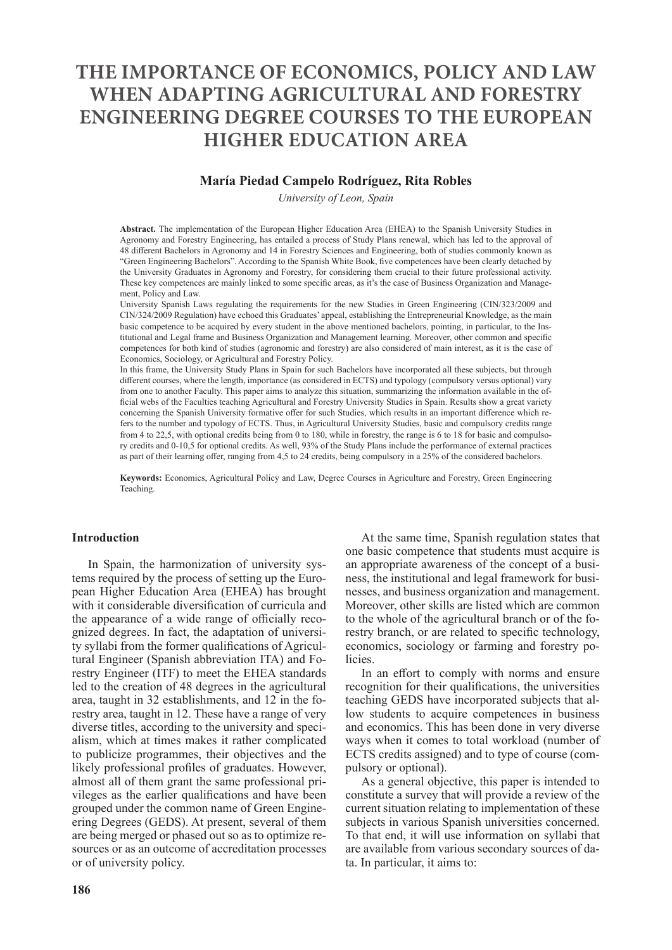# **THE IMPORTANCE OF ECONOMICS, POLICY AND LAW WHEN ADAPTING AGRICULTURAL AND FORESTRY ENGINEERING DEGREE COURSES TO THE EUROPEAN HIGHER EDUCATION AREA**

## **María Piedad Campelo Rodríguez, Rita Robles**

*University of Leon, Spain*

**Abstract.** The implementation of the European Higher Education Area (EHEA) to the Spanish University Studies in Agronomy and Forestry Engineering, has entailed a process of Study Plans renewal, which has led to the approval of 48 different Bachelors in Agronomy and 14 in Forestry Sciences and Engineering, both of studies commonly known as "Green Engineering Bachelors". According to the Spanish White Book, five competences have been clearly detached by the University Graduates in Agronomy and Forestry, for considering them crucial to their future professional activity. These key competences are mainly linked to some specific areas, as it's the case of Business Organization and Management, Policy and Law.

University Spanish Laws regulating the requirements for the new Studies in Green Engineering (CIN/323/2009 and CIN/324/2009 Regulation) have echoed this Graduates' appeal, establishing the Entrepreneurial Knowledge, as the main basic competence to be acquired by every student in the above mentioned bachelors, pointing, in particular, to the Institutional and Legal frame and Business Organization and Management learning. Moreover, other common and specific competences for both kind of studies (agronomic and forestry) are also considered of main interest, as it is the case of Economics, Sociology, or Agricultural and Forestry Policy.

In this frame, the University Study Plans in Spain for such Bachelors have incorporated all these subjects, but through different courses, where the length, importance (as considered in ECTS) and typology (compulsory versus optional) vary from one to another Faculty. This paper aims to analyze this situation, summarizing the information available in the official webs of the Faculties teaching Agricultural and Forestry University Studies in Spain. Results show a great variety concerning the Spanish University formative offer for such Studies, which results in an important difference which refers to the number and typology of ECTS. Thus, in Agricultural University Studies, basic and compulsory credits range from 4 to 22,5, with optional credits being from 0 to 180, while in forestry, the range is 6 to 18 for basic and compulsory credits and 0-10,5 for optional credits. As well, 93% of the Study Plans include the performance of external practices as part of their learning offer, ranging from 4,5 to 24 credits, being compulsory in a 25% of the considered bachelors.

**Keywords:** Economics, Agricultural Policy and Law, Degree Courses in Agriculture and Forestry, Green Engineering Teaching.

#### **Introduction**

In Spain, the harmonization of university systems required by the process of setting up the European Higher Education Area (EHEA) has brought with it considerable diversification of curricula and the appearance of a wide range of officially recognized degrees. In fact, the adaptation of university syllabi from the former qualifications of Agricultural Engineer (Spanish abbreviation ITA) and Forestry Engineer (ITF) to meet the EHEA standards led to the creation of 48 degrees in the agricultural area, taught in 32 establishments, and 12 in the forestry area, taught in 12. These have a range of very diverse titles, according to the university and specialism, which at times makes it rather complicated to publicize programmes, their objectives and the likely professional profiles of graduates. However, almost all of them grant the same professional privileges as the earlier qualifications and have been grouped under the common name of Green Engineering Degrees (GEDS). At present, several of them are being merged or phased out so as to optimize resources or as an outcome of accreditation processes or of university policy.

At the same time, Spanish regulation states that one basic competence that students must acquire is an appropriate awareness of the concept of a business, the institutional and legal framework for businesses, and business organization and management. Moreover, other skills are listed which are common to the whole of the agricultural branch or of the forestry branch, or are related to specific technology, economics, sociology or farming and forestry policies.

In an effort to comply with norms and ensure recognition for their qualifications, the universities teaching GEDS have incorporated subjects that allow students to acquire competences in business and economics. This has been done in very diverse ways when it comes to total workload (number of ECTS credits assigned) and to type of course (compulsory or optional).

As a general objective, this paper is intended to constitute a survey that will provide a review of the current situation relating to implementation of these subjects in various Spanish universities concerned. To that end, it will use information on syllabi that are available from various secondary sources of data. In particular, it aims to: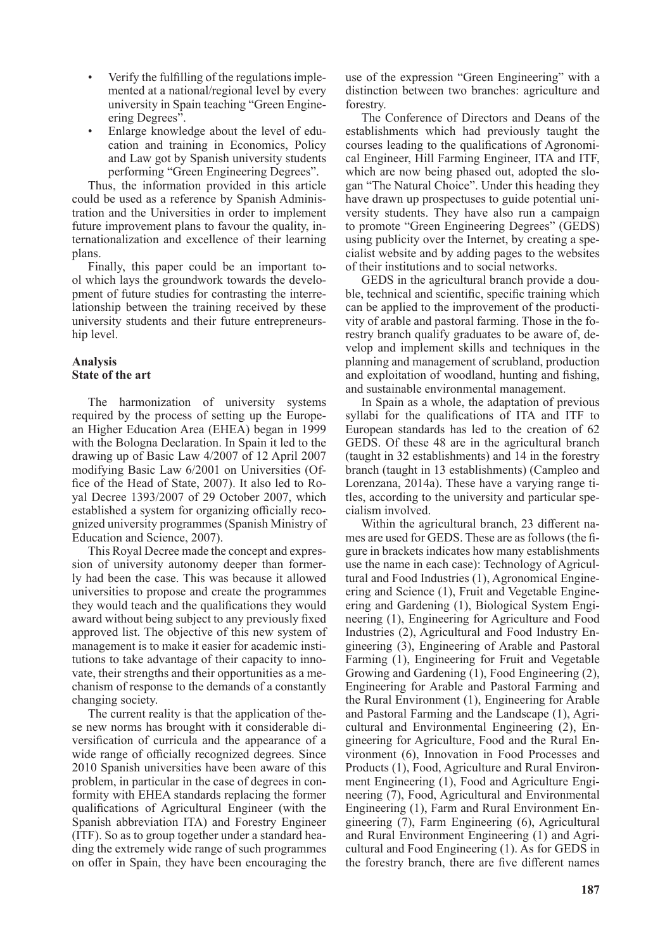- Verify the fulfilling of the regulations implemented at a national/regional level by every university in Spain teaching "Green Engineering Degrees".
- Enlarge knowledge about the level of education and training in Economics, Policy and Law got by Spanish university students performing "Green Engineering Degrees".

Thus, the information provided in this article could be used as a reference by Spanish Administration and the Universities in order to implement future improvement plans to favour the quality, internationalization and excellence of their learning plans.

Finally, this paper could be an important tool which lays the groundwork towards the development of future studies for contrasting the interrelationship between the training received by these university students and their future entrepreneurship level.

## **Analysis State of the art**

The harmonization of university systems required by the process of setting up the European Higher Education Area (EHEA) began in 1999 with the Bologna Declaration. In Spain it led to the drawing up of Basic Law 4/2007 of 12 April 2007 modifying Basic Law 6/2001 on Universities (Office of the Head of State, 2007). It also led to Royal Decree 1393/2007 of 29 October 2007, which established a system for organizing officially recognized university programmes (Spanish Ministry of Education and Science, 2007).

This Royal Decree made the concept and expression of university autonomy deeper than formerly had been the case. This was because it allowed universities to propose and create the programmes they would teach and the qualifications they would award without being subject to any previously fixed approved list. The objective of this new system of management is to make it easier for academic institutions to take advantage of their capacity to innovate, their strengths and their opportunities as a mechanism of response to the demands of a constantly changing society.

The current reality is that the application of these new norms has brought with it considerable diversification of curricula and the appearance of a wide range of officially recognized degrees. Since 2010 Spanish universities have been aware of this problem, in particular in the case of degrees in conformity with EHEA standards replacing the former qualifications of Agricultural Engineer (with the Spanish abbreviation ITA) and Forestry Engineer (ITF). So as to group together under a standard heading the extremely wide range of such programmes on offer in Spain, they have been encouraging the use of the expression "Green Engineering" with a distinction between two branches: agriculture and forestry.

The Conference of Directors and Deans of the establishments which had previously taught the courses leading to the qualifications of Agronomical Engineer, Hill Farming Engineer, ITA and ITF, which are now being phased out, adopted the slogan "The Natural Choice". Under this heading they have drawn up prospectuses to guide potential university students. They have also run a campaign to promote "Green Engineering Degrees" (GEDS) using publicity over the Internet, by creating a specialist website and by adding pages to the websites of their institutions and to social networks.

GEDS in the agricultural branch provide a double, technical and scientific, specific training which can be applied to the improvement of the productivity of arable and pastoral farming. Those in the forestry branch qualify graduates to be aware of, develop and implement skills and techniques in the planning and management of scrubland, production and exploitation of woodland, hunting and fishing, and sustainable environmental management.

In Spain as a whole, the adaptation of previous syllabi for the qualifications of ITA and ITF to European standards has led to the creation of 62 GEDS. Of these 48 are in the agricultural branch (taught in 32 establishments) and 14 in the forestry branch (taught in 13 establishments) (Campleo and Lorenzana, 2014a). These have a varying range titles, according to the university and particular specialism involved.

Within the agricultural branch, 23 different names are used for GEDS. These are as follows (the figure in brackets indicates how many establishments use the name in each case): Technology of Agricultural and Food Industries (1), Agronomical Engineering and Science (1), Fruit and Vegetable Engineering and Gardening (1), Biological System Engineering (1), Engineering for Agriculture and Food Industries (2), Agricultural and Food Industry Engineering (3), Engineering of Arable and Pastoral Farming (1), Engineering for Fruit and Vegetable Growing and Gardening (1), Food Engineering (2), Engineering for Arable and Pastoral Farming and the Rural Environment (1), Engineering for Arable and Pastoral Farming and the Landscape (1), Agricultural and Environmental Engineering (2), Engineering for Agriculture, Food and the Rural Environment (6), Innovation in Food Processes and Products (1), Food, Agriculture and Rural Environment Engineering (1), Food and Agriculture Engineering (7), Food, Agricultural and Environmental Engineering (1), Farm and Rural Environment Engineering (7), Farm Engineering (6), Agricultural and Rural Environment Engineering (1) and Agricultural and Food Engineering (1). As for GEDS in the forestry branch, there are five different names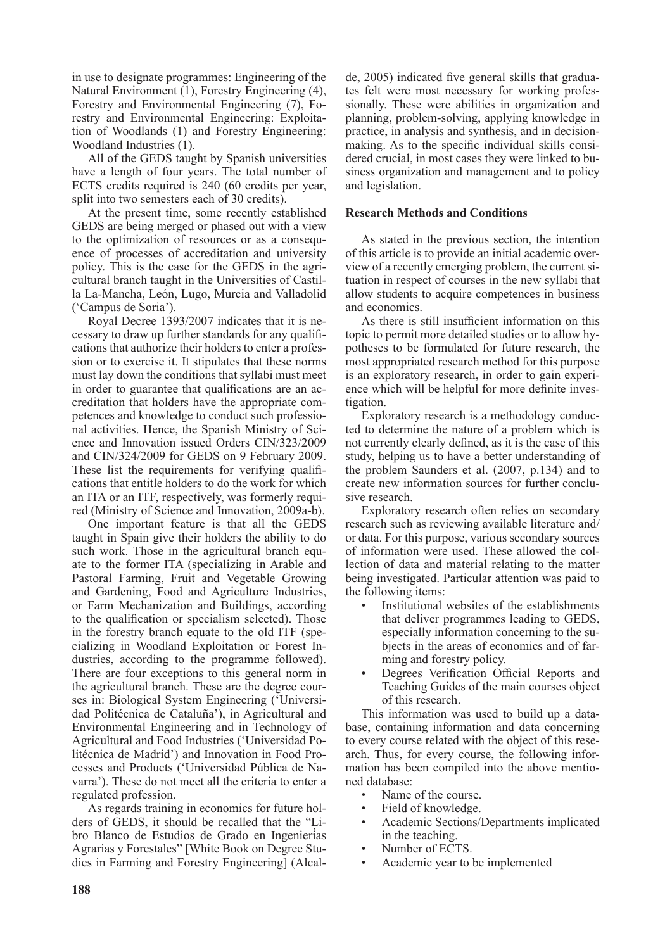in use to designate programmes: Engineering of the Natural Environment (1), Forestry Engineering (4), Forestry and Environmental Engineering (7), Forestry and Environmental Engineering: Exploitation of Woodlands (1) and Forestry Engineering: Woodland Industries (1).

All of the GEDS taught by Spanish universities have a length of four years. The total number of ECTS credits required is 240 (60 credits per year, split into two semesters each of 30 credits).

At the present time, some recently established GEDS are being merged or phased out with a view to the optimization of resources or as a consequence of processes of accreditation and university policy. This is the case for the GEDS in the agricultural branch taught in the Universities of Castilla La-Mancha, León, Lugo, Murcia and Valladolid ('Campus de Soria').

Royal Decree 1393/2007 indicates that it is necessary to draw up further standards for any qualifications that authorize their holders to enter a profession or to exercise it. It stipulates that these norms must lay down the conditions that syllabi must meet in order to guarantee that qualifications are an accreditation that holders have the appropriate competences and knowledge to conduct such professional activities. Hence, the Spanish Ministry of Science and Innovation issued Orders CIN/323/2009 and CIN/324/2009 for GEDS on 9 February 2009. These list the requirements for verifying qualifications that entitle holders to do the work for which an ITA or an ITF, respectively, was formerly required (Ministry of Science and Innovation, 2009a-b).

One important feature is that all the GEDS taught in Spain give their holders the ability to do such work. Those in the agricultural branch equate to the former ITA (specializing in Arable and Pastoral Farming, Fruit and Vegetable Growing and Gardening, Food and Agriculture Industries, or Farm Mechanization and Buildings, according to the qualification or specialism selected). Those in the forestry branch equate to the old ITF (specializing in Woodland Exploitation or Forest Industries, according to the programme followed). There are four exceptions to this general norm in the agricultural branch. These are the degree courses in: Biological System Engineering ('Universidad Politécnica de Cataluña'), in Agricultural and Environmental Engineering and in Technology of Agricultural and Food Industries ('Universidad Politécnica de Madrid') and Innovation in Food Processes and Products ('Universidad Pública de Navarra'). These do not meet all the criteria to enter a regulated profession.

As regards training in economics for future holders of GEDS, it should be recalled that the "Libro Blanco de Estudios de Grado en Ingenierías Agrarias y Forestales" [White Book on Degree Studies in Farming and Forestry Engineering] (Alcalde, 2005) indicated five general skills that graduates felt were most necessary for working professionally. These were abilities in organization and planning, problem-solving, applying knowledge in practice, in analysis and synthesis, and in decisionmaking. As to the specific individual skills considered crucial, in most cases they were linked to business organization and management and to policy and legislation.

## **Research Methods and Conditions**

As stated in the previous section, the intention of this article is to provide an initial academic overview of a recently emerging problem, the current situation in respect of courses in the new syllabi that allow students to acquire competences in business and economics.

As there is still insufficient information on this topic to permit more detailed studies or to allow hypotheses to be formulated for future research, the most appropriated research method for this purpose is an exploratory research, in order to gain experience which will be helpful for more definite investigation.

Exploratory research is a methodology conducted to determine the nature of a problem which is not currently clearly defined, as it is the case of this study, helping us to have a better understanding of the problem Saunders et al. (2007, p.134) and to create new information sources for further conclusive research.

Exploratory research often relies on secondary research such as reviewing available literature and/ or data. For this purpose, various secondary sources of information were used. These allowed the collection of data and material relating to the matter being investigated. Particular attention was paid to the following items:

- Institutional websites of the establishments that deliver programmes leading to GEDS, especially information concerning to the subjects in the areas of economics and of farming and forestry policy.
- Degrees Verification Official Reports and Teaching Guides of the main courses object of this research.

This information was used to build up a database, containing information and data concerning to every course related with the object of this research. Thus, for every course, the following information has been compiled into the above mentioned database:

- Name of the course.
- Field of knowledge.
- Academic Sections/Departments implicated in the teaching.
- Number of ECTS.
- Academic year to be implemented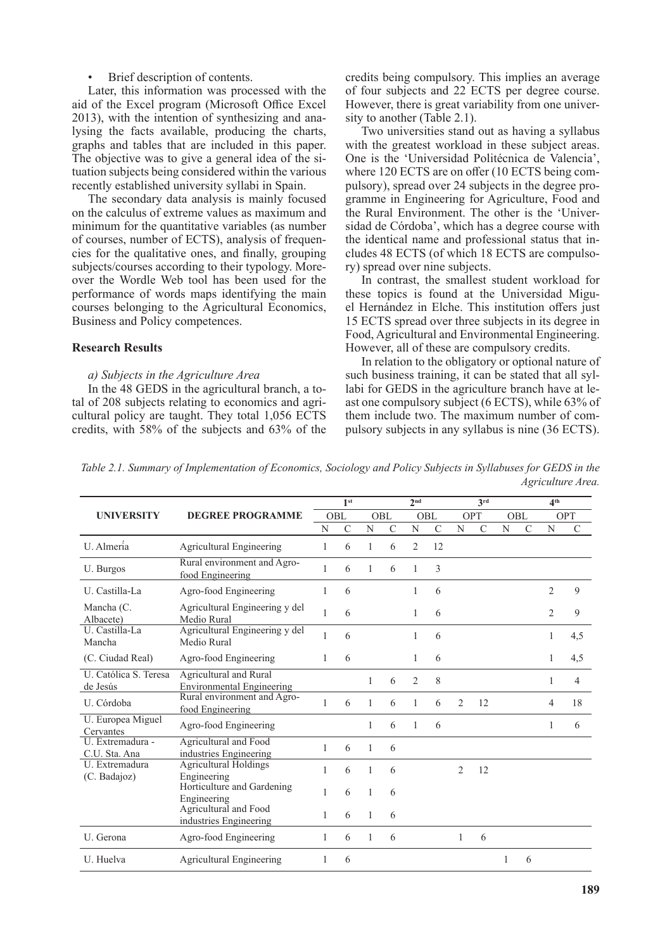## Brief description of contents.

Later, this information was processed with the aid of the Excel program (Microsoft Office Excel 2013), with the intention of synthesizing and analysing the facts available, producing the charts, graphs and tables that are included in this paper. The objective was to give a general idea of the situation subjects being considered within the various recently established university syllabi in Spain.

The secondary data analysis is mainly focused on the calculus of extreme values as maximum and minimum for the quantitative variables (as number of courses, number of ECTS), analysis of frequencies for the qualitative ones, and finally, grouping subjects/courses according to their typology. Moreover the Wordle Web tool has been used for the performance of words maps identifying the main courses belonging to the Agricultural Economics, Business and Policy competences.

### **Research Results**

### *a) Subjects in the Agriculture Area*

In the 48 GEDS in the agricultural branch, a total of 208 subjects relating to economics and agricultural policy are taught. They total 1,056 ECTS credits, with 58% of the subjects and 63% of the credits being compulsory. This implies an average of four subjects and 22 ECTS per degree course. However, there is great variability from one university to another (Table 2.1).

Two universities stand out as having a syllabus with the greatest workload in these subject areas. One is the 'Universidad Politécnica de Valencia', where 120 ECTS are on offer (10 ECTS being compulsory), spread over 24 subjects in the degree programme in Engineering for Agriculture, Food and the Rural Environment. The other is the 'Universidad de Córdoba', which has a degree course with the identical name and professional status that includes 48 ECTS (of which 18 ECTS are compulsory) spread over nine subjects.

In contrast, the smallest student workload for these topics is found at the Universidad Miguel Hernández in Elche. This institution offers just 15 ECTS spread over three subjects in its degree in Food, Agricultural and Environmental Engineering. However, all of these are compulsory credits.

In relation to the obligatory or optional nature of such business training, it can be stated that all syllabi for GEDS in the agriculture branch have at least one compulsory subject (6 ECTS), while 63% of them include two. The maximum number of compulsory subjects in any syllabus is nine (36 ECTS).

*Table 2.1. Summary of Implementation of Economics, Sociology and Policy Subjects in Syllabuses for GEDS in the Agriculture Area.*

|                                   | <b>DEGREE PROGRAMME</b>                                    |              | 1 <sup>st</sup> |              |               | 2 <sub>nd</sub> |              | 3rd            |               |     |   | 4 <sup>th</sup> |     |
|-----------------------------------|------------------------------------------------------------|--------------|-----------------|--------------|---------------|-----------------|--------------|----------------|---------------|-----|---|-----------------|-----|
| <b>UNIVERSITY</b>                 |                                                            | OBL          |                 | OBL          |               | OBL             |              | OPT            |               | OBL |   | OPT             |     |
|                                   |                                                            | N            | C               | N            | $\mathcal{C}$ | N               | $\mathsf{C}$ | N              | $\mathcal{C}$ | N   | C | N               | C   |
| U. Almeria                        | <b>Agricultural Engineering</b>                            | 1            | 6               | 1            | 6             | $\overline{2}$  | 12           |                |               |     |   |                 |     |
| U. Burgos                         | Rural environment and Agro-<br>food Engineering            | 1            | 6               | 1            | 6             |                 | 3            |                |               |     |   |                 |     |
| U. Castilla-La                    | Agro-food Engineering                                      | 1            | 6               |              |               |                 | 6            |                |               |     |   | $\overline{2}$  | 9   |
| Mancha (C.<br>Albacete)           | Agricultural Engineering y del<br>Medio Rural              | 1            | 6               |              |               | 1               | 6            |                |               |     |   | $\overline{2}$  | 9   |
| U. Castilla-La<br>Mancha          | Agricultural Engineering y del<br>Medio Rural              | 1            | 6               |              |               | 1               | 6            |                |               |     |   | 1               | 4,5 |
| (C. Ciudad Real)                  | Agro-food Engineering                                      | 1            | 6               |              |               | 1               | 6            |                |               |     |   | 1               | 4,5 |
| U. Católica S. Teresa<br>de Jesús | Agricultural and Rural<br><b>Environmental Engineering</b> |              |                 | 1            | 6             | $\overline{2}$  | 8            |                |               |     |   | 1               | 4   |
| U. Córdoba                        | Rural environment and Agro-<br>food Engineering            | 1            | 6               | 1            | 6             | 1               | 6            | 2              | 12            |     |   | 4               | 18  |
| U. Europea Miguel<br>Cervantes    | Agro-food Engineering                                      |              |                 | 1            | 6             | 1               | 6            |                |               |     |   | 1               | 6   |
| U. Extremadura -<br>C.U. Sta. Ana | Agricultural and Food<br>industries Engineering            | $\mathbf{1}$ | 6               | 1            | 6             |                 |              |                |               |     |   |                 |     |
| U. Extremadura<br>(C. Badajoz)    | <b>Agricultural Holdings</b><br>Engineering                | 1            | 6               | 1            | 6             |                 |              | $\overline{2}$ | 12            |     |   |                 |     |
|                                   | Horticulture and Gardening<br>Engineering                  | 1            | 6               | 1            | 6             |                 |              |                |               |     |   |                 |     |
|                                   | Agricultural and Food<br>industries Engineering            | 1            | 6               | $\mathbf{1}$ | 6             |                 |              |                |               |     |   |                 |     |
| U. Gerona                         | Agro-food Engineering                                      | 1            | 6               | 1            | 6             |                 |              | 1              | 6             |     |   |                 |     |
| U. Huelva                         | <b>Agricultural Engineering</b>                            | 1            | 6               |              |               |                 |              |                |               |     | 6 |                 |     |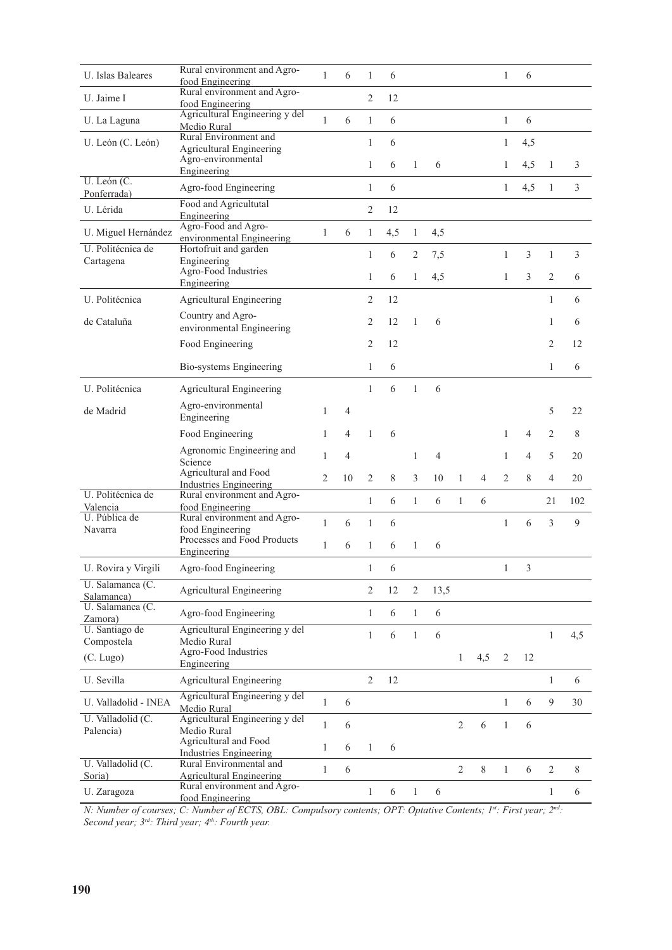| <b>U.</b> Islas Baleares       | Rural environment and Agro-                                  | $\mathbf{1}$   | 6  | $\mathbf{1}$   | 6   |                |      |                |       | $\mathbf{1}$   | 6   |                |       |
|--------------------------------|--------------------------------------------------------------|----------------|----|----------------|-----|----------------|------|----------------|-------|----------------|-----|----------------|-------|
| U. Jaime I                     | food Engineering<br>Rural environment and Agro-              |                |    | $\overline{c}$ | 12  |                |      |                |       |                |     |                |       |
|                                | food Engineering<br>Agricultural Engineering y del           |                |    |                |     |                |      |                |       |                |     |                |       |
| U. La Laguna                   | Medio Rural                                                  | 1              | 6  | $\mathbf{1}$   | 6   |                |      |                |       | $\mathbf{1}$   | 6   |                |       |
| U. León (C. León)              | Rural Environment and<br><b>Agricultural Engineering</b>     |                |    | $\mathbf{1}$   | 6   |                |      |                |       | $\mathbf{1}$   | 4,5 |                |       |
|                                | Agro-environmental                                           |                |    | $\mathbf{1}$   | 6   | 1              | 6    |                |       | 1              | 4,5 | $\mathbf{1}$   | 3     |
| U. León (C.                    | Engineering                                                  |                |    |                |     |                |      |                |       |                |     |                |       |
| Ponferrada)                    | Agro-food Engineering                                        |                |    | $\mathbf{1}$   | 6   |                |      |                |       | $\mathbf{1}$   | 4,5 | $\mathbf{1}$   | 3     |
| U. Lérida                      | Food and Agricultutal<br>Engineering                         |                |    | $\overline{c}$ | 12  |                |      |                |       |                |     |                |       |
| U. Miguel Hernández            | Agro-Food and Agro-                                          | 1              | 6  | $\mathbf{1}$   | 4,5 | $\mathbf{1}$   | 4,5  |                |       |                |     |                |       |
| U. Politécnica de              | environmental Engineering<br>Hortofruit and garden           |                |    |                |     |                |      |                |       |                |     |                |       |
| Cartagena                      | Engineering                                                  |                |    | $\mathbf{1}$   | 6   | 2              | 7,5  |                |       | $\mathbf{1}$   | 3   | $\mathbf{1}$   | 3     |
|                                | Agro-Food Industries<br>Engineering                          |                |    | $\mathbf{1}$   | 6   | 1              | 4,5  |                |       | $\mathbf{1}$   | 3   | 2              | 6     |
| U. Politécnica                 | Agricultural Engineering                                     |                |    | 2              | 12  |                |      |                |       |                |     | 1              | 6     |
| de Cataluña                    | Country and Agro-                                            |                |    |                |     |                |      |                |       |                |     |                |       |
|                                | environmental Engineering                                    |                |    | $\overline{c}$ | 12  | 1              | 6    |                |       |                |     | 1              | 6     |
|                                | Food Engineering                                             |                |    | $\overline{2}$ | 12  |                |      |                |       |                |     | 2              | 12    |
|                                | Bio-systems Engineering                                      |                |    | 1              | 6   |                |      |                |       |                |     | 1              | 6     |
| U. Politécnica                 | Agricultural Engineering                                     |                |    | $\mathbf{1}$   | 6   | $\mathbf{1}$   | 6    |                |       |                |     |                |       |
| de Madrid                      | Agro-environmental<br>Engineering                            | 1              | 4  |                |     |                |      |                |       |                |     | 5              | 22    |
|                                | Food Engineering                                             | 1              | 4  | $\mathbf{1}$   | 6   |                |      |                |       | 1              | 4   | 2              | 8     |
|                                | Agronomic Engineering and                                    | 1              | 4  |                |     | 1              | 4    |                |       | 1              | 4   | 5              | 20    |
|                                | Science<br>Agricultural and Food                             | $\overline{c}$ | 10 | $\overline{2}$ | 8   | 3              | 10   | 1              | 4     | $\overline{2}$ | 8   | 4              | 20    |
| U. Politécnica de              | <b>Industries Engineering</b><br>Rural environment and Agro- |                |    |                |     |                |      |                |       |                |     |                |       |
| Valencia                       | food Engineering                                             |                |    | $\mathbf{1}$   | 6   | $\mathbf{1}$   | 6    | 1              | 6     |                |     | 21             | 102   |
| U. Pública de                  | Rural environment and Agro-                                  | $\mathbf{1}$   | 6  | $\mathbf{1}$   | 6   |                |      |                |       | $\mathbf{1}$   | 6   | 3              | 9     |
| Navarra                        | food Engineering<br>Processes and Food Products              |                |    |                |     |                |      |                |       |                |     |                |       |
|                                | Engineering                                                  | $\mathbf{1}$   | 6  | $\mathbf{1}$   | 6   | 1              | 6    |                |       |                |     |                |       |
| U. Rovira y Virgili            | Agro-food Engineering                                        |                |    | 1              | 6   |                |      |                |       | $\mathbf{1}$   | 3   |                |       |
| U. Salamanca (C.               | <b>Agricultural Engineering</b>                              |                |    | $\overline{2}$ | 12  | $\overline{2}$ | 13,5 |                |       |                |     |                |       |
| Salamanca)<br>U. Salamanca (C. |                                                              |                |    |                |     |                |      |                |       |                |     |                |       |
| Zamora)                        | Agro-food Engineering                                        |                |    | $\mathbf{1}$   | 6   | $\mathbf{1}$   | 6    |                |       |                |     |                |       |
| U. Santiago de<br>Compostela   | Agricultural Engineering y del<br>Medio Rural                |                |    | $\mathbf{1}$   | 6   | $\mathbf{1}$   | 6    |                |       |                |     | $\mathbf{1}$   | 4,5   |
| (C. Lugo)                      | Agro-Food Industries                                         |                |    |                |     |                |      | $\mathbf{1}$   | 4,5   | 2              | 12  |                |       |
|                                | Engineering                                                  |                |    |                |     |                |      |                |       |                |     |                |       |
| U. Sevilla                     | <b>Agricultural Engineering</b>                              |                |    | 2              | 12  |                |      |                |       |                |     | $\mathbf{1}$   | 6     |
| U. Valladolid - INEA           | Agricultural Engineering y del<br>Medio Rural                | $\mathbf{1}$   | 6  |                |     |                |      |                |       | $\mathbf{1}$   | 6   | 9              | 30    |
| U. Valladolid (C.              | Agricultural Engineering y del                               | $\mathbf{1}$   | 6  |                |     |                |      | $\overline{2}$ | 6     | $\mathbf{1}$   | 6   |                |       |
| Palencia)                      | Medio Rural<br>Agricultural and Food                         |                |    |                |     |                |      |                |       |                |     |                |       |
|                                | <b>Industries Engineering</b>                                | 1              | 6  | $\mathbf{1}$   | 6   |                |      |                |       |                |     |                |       |
| U. Valladolid (C.<br>Soria)    | Rural Environmental and<br>Agricultural Engineering          | $\mathbf{1}$   | 6  |                |     |                |      | $\overline{2}$ | $8\,$ | $\mathbf{1}$   | 6   | $\overline{2}$ | $8\,$ |
| U. Zaragoza                    | Rural environment and Agro-                                  |                |    | $\mathbf{1}$   | 6   | $\mathbf{1}$   | 6    |                |       |                |     | $\mathbf{1}$   | 6     |
|                                | food Engineering                                             |                |    |                |     |                |      |                |       |                |     |                |       |

*N: Number of courses; C: Number of ECTS, OBL: Compulsory contents; OPT: Optative Contents; 1st: First year; 2nd: Second year; 3rd: Third year; 4th: Fourth year.*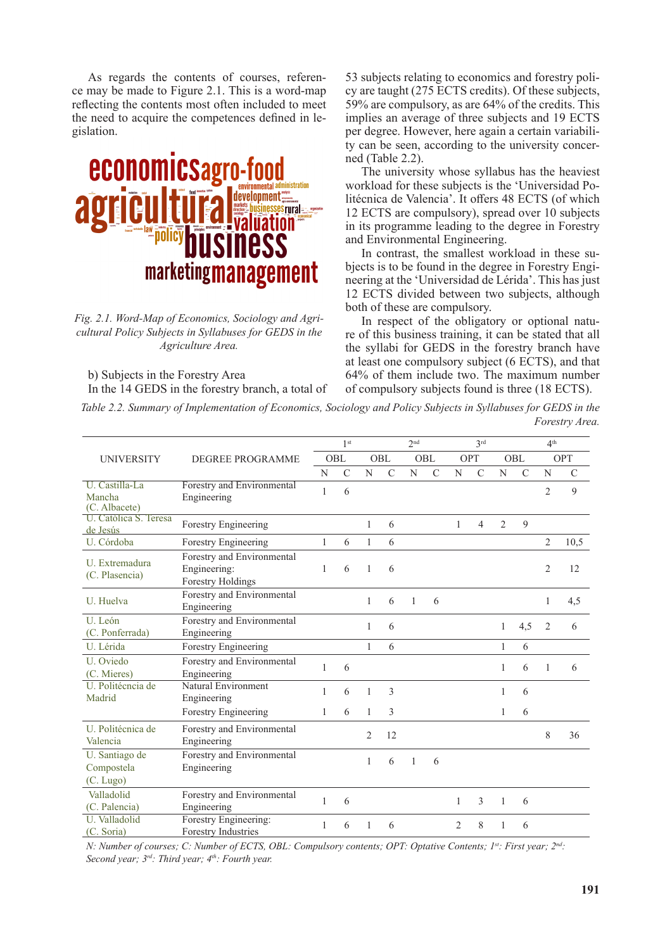As regards the contents of courses, reference may be made to Figure 2.1. This is a word-map reflecting the contents most often included to meet the need to acquire the competences defined in legislation.



*Fig. 2.1. Word-Map of Economics, Sociology and Agricultural Policy Subjects in Syllabuses for GEDS in the Agriculture Area.*

b) Subjects in the Forestry Area In the 14 GEDS in the forestry branch, a total of 53 subjects relating to economics and forestry policy are taught (275 ECTS credits). Of these subjects, 59% are compulsory, as are 64% of the credits. This implies an average of three subjects and 19 ECTS per degree. However, here again a certain variability can be seen, according to the university concerned (Table 2.2).

The university whose syllabus has the heaviest workload for these subjects is the 'Universidad Politécnica de Valencia'. It offers 48 ECTS (of which 12 ECTS are compulsory), spread over 10 subjects in its programme leading to the degree in Forestry and Environmental Engineering.

In contrast, the smallest workload in these subjects is to be found in the degree in Forestry Engineering at the 'Universidad de Lérida'. This has just 12 ECTS divided between two subjects, although both of these are compulsory.

In respect of the obligatory or optional nature of this business training, it can be stated that all the syllabi for GEDS in the forestry branch have at least one compulsory subject (6 ECTS), and that 64% of them include two. The maximum number of compulsory subjects found is three (18 ECTS).

*Table 2.2. Summary of Implementation of Economics, Sociology and Policy Subjects in Syllabuses for GEDS in the Forestry Area.*

|                                           |                                                                        | 1 <sup>st</sup> |               |                |               | 2 <sub>nd</sub> |               | 3rd            |                |                |               | 4 <sup>th</sup> |               |  |
|-------------------------------------------|------------------------------------------------------------------------|-----------------|---------------|----------------|---------------|-----------------|---------------|----------------|----------------|----------------|---------------|-----------------|---------------|--|
| <b>UNIVERSITY</b>                         | <b>DEGREE PROGRAMME</b>                                                | OBL             |               | OBL            |               | OBL             |               | <b>OPT</b>     |                | OBL            |               | OPT             |               |  |
|                                           |                                                                        | N               | $\mathcal{C}$ | N              | $\mathcal{C}$ | N               | $\mathcal{C}$ | N              | $\mathcal{C}$  | N              | $\mathcal{C}$ | N               | $\mathcal{C}$ |  |
| U. Castilla-La<br>Mancha<br>(C. Albacete) | Forestry and Environmental<br>Engineering                              | 1               | 6             |                |               |                 |               |                |                |                |               | $\overline{2}$  | 9             |  |
| U. Católica S. Teresa<br>de Jesús         | Forestry Engineering                                                   |                 |               | 1              | 6             |                 |               | 1              | $\overline{4}$ | $\overline{2}$ | $\mathbf{Q}$  |                 |               |  |
| U. Córdoba                                | Forestry Engineering                                                   | $\mathbf{1}$    | 6             | $\mathbf{1}$   | 6             |                 |               |                |                |                |               | $\overline{2}$  | 10,5          |  |
| U. Extremadura<br>(C. Plasencia)          | Forestry and Environmental<br>Engineering:<br><b>Forestry Holdings</b> | 1               | 6             | 1              | 6             |                 |               |                |                |                |               | $\overline{2}$  | 12            |  |
| U. Huelva                                 | Forestry and Environmental<br>Engineering                              |                 |               | $\mathbf{1}$   | 6             | $\mathbf{1}$    | 6             |                |                |                |               | $\mathbf{1}$    | 4,5           |  |
| U. León<br>(C. Ponferrada)                | Forestry and Environmental<br>Engineering                              |                 |               | 1              | 6             |                 |               |                |                | $\mathbf{1}$   | 4,5           | 2               | 6             |  |
| U. Lérida                                 | Forestry Engineering                                                   |                 |               | 1              | 6             |                 |               |                |                | 1              | 6             |                 |               |  |
| U. Oviedo<br>(C. Mieres)                  | Forestry and Environmental<br>Engineering                              | $\mathbf{1}$    | 6             |                |               |                 |               |                |                | 1              | 6             | 1               | 6             |  |
| U. Politécncia de<br>Madrid               | Natural Environment<br>Engineering                                     | 1               | 6             | 1              | 3             |                 |               |                |                | 1              | 6             |                 |               |  |
|                                           | Forestry Engineering                                                   | $\mathbf{1}$    | 6             | $\mathbf{1}$   | 3             |                 |               |                |                | $\mathbf{1}$   | 6             |                 |               |  |
| U. Politécnica de<br>Valencia             | Forestry and Environmental<br>Engineering                              |                 |               | $\overline{2}$ | 12            |                 |               |                |                |                |               | 8               | 36            |  |
| U. Santiago de<br>Compostela              | Forestry and Environmental<br>Engineering                              |                 |               | 1              | 6             | 1               | 6             |                |                |                |               |                 |               |  |
| (C. Lugo)                                 |                                                                        |                 |               |                |               |                 |               |                |                |                |               |                 |               |  |
| Valladolid<br>(C. Palencia)               | Forestry and Environmental<br>Engineering                              | $\mathbf{1}$    | 6             |                |               |                 |               | 1              | 3              | 1              | 6             |                 |               |  |
| U. Valladolid<br>(C. Soria)               | Forestry Engineering:<br><b>Forestry Industries</b>                    | 1               | 6             | 1              | 6             |                 |               | $\overline{2}$ | 8              | 1              | 6             |                 |               |  |

*N: Number of courses; C: Number of ECTS, OBL: Compulsory contents; OPT: Optative Contents; 1st: First year; 2nd: Second year; 3rd: Third year; 4th: Fourth year.*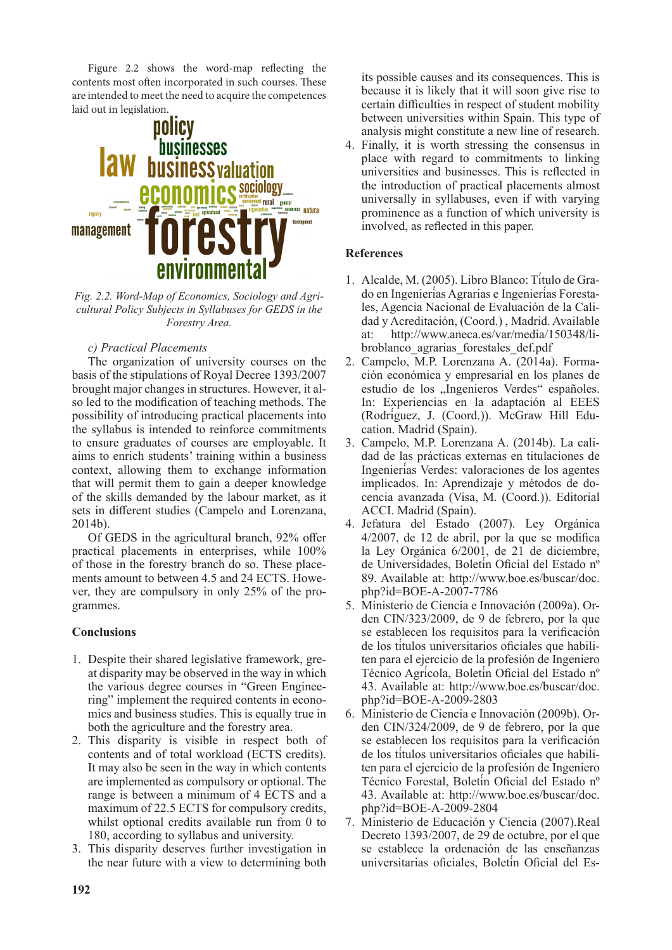Figure 2.2 shows the word-map reflecting the contents most often incorporated in such courses. These are intended to meet the need to acquire the competences laid out in legislation.



*Fig. 2.2. Word-Map of Economics, Sociology and Agricultural Policy Subjects in Syllabuses for GEDS in the Forestry Area.*

## *c) Practical Placements*

The organization of university courses on the basis of the stipulations of Royal Decree 1393/2007 brought major changes in structures. However, it also led to the modification of teaching methods. The possibility of introducing practical placements into the syllabus is intended to reinforce commitments to ensure graduates of courses are employable. It aims to enrich students' training within a business context, allowing them to exchange information that will permit them to gain a deeper knowledge of the skills demanded by the labour market, as it sets in different studies (Campelo and Lorenzana, 2014b).

Of GEDS in the agricultural branch, 92% offer practical placements in enterprises, while 100% of those in the forestry branch do so. These placements amount to between 4.5 and 24 ECTS. However, they are compulsory in only 25% of the programmes.

## **Conclusions**

- 1. Despite their shared legislative framework, great disparity may be observed in the way in which the various degree courses in "Green Engineering" implement the required contents in economics and business studies. This is equally true in both the agriculture and the forestry area.
- 2. This disparity is visible in respect both of contents and of total workload (ECTS credits). It may also be seen in the way in which contents are implemented as compulsory or optional. The range is between a minimum of 4 ECTS and a maximum of 22.5 ECTS for compulsory credits, whilst optional credits available run from 0 to 180, according to syllabus and university.
- 3. This disparity deserves further investigation in the near future with a view to determining both

its possible causes and its consequences. This is because it is likely that it will soon give rise to certain difficulties in respect of student mobility between universities within Spain. This type of analysis might constitute a new line of research.

4. Finally, it is worth stressing the consensus in place with regard to commitments to linking universities and businesses. This is reflected in the introduction of practical placements almost universally in syllabuses, even if with varying prominence as a function of which university is involved, as reflected in this paper.

## **References**

- 1. Alcalde, M. (2005). Libro Blanco: Título de Grado en Ingenierías Agrarias e Ingenierías Forestales, Agencia Nacional de Evaluación de la Calidad y Acreditación, (Coord.) , Madrid. Available at: http://www.aneca.es/var/media/150348/libroblanco\_agrarias\_forestales\_def.pdf
- 2. Campelo, M.P. Lorenzana A. (2014a). Formación económica y empresarial en los planes de estudio de los "Ingenieros Verdes" españoles. In: Experiencias en la adaptación al EEES (Rodríguez, J. (Coord.)). McGraw Hill Education. Madrid (Spain).
- 3. Campelo, M.P. Lorenzana A. (2014b). La calidad de las prácticas externas en titulaciones de Ingenierías Verdes: valoraciones de los agentes implicados. In: Aprendizaje y métodos de docencia avanzada (Visa, M. (Coord.)). Editorial ACCI. Madrid (Spain).
- 4. Jefatura del Estado (2007). Ley Orgánica 4/2007, de 12 de abril, por la que se modifica la Ley Orgánica 6/2001, de 21 de diciembre, de Universidades, Boletín Oficial del Estado nº 89. Available at: http://www.boe.es/buscar/doc. php?id=BOE-A-2007-7786
- 5. Ministerio de Ciencia e Innovación (2009a). Orden CIN/323/2009, de 9 de febrero, por la que se establecen los requisitos para la verificación de los títulos universitarios oficiales que habiliten para el ejercicio de la profesión de Ingeniero Técnico Agrícola, Boletín Oficial del Estado nº 43. Available at: http://www.boe.es/buscar/doc. php?id=BOE-A-2009-2803
- 6. Ministerio de Ciencia e Innovación (2009b). Orden CIN/324/2009, de 9 de febrero, por la que se establecen los requisitos para la verificación de los títulos universitarios oficiales que habiliten para el ejercicio de la profesión de Ingeniero Técnico Forestal, Boletín Oficial del Estado nº 43. Available at: http://www.boe.es/buscar/doc. php?id=BOE-A-2009-2804
- 7. Ministerio de Educación y Ciencia (2007).Real Decreto 1393/2007, de 29 de octubre, por el que se establece la ordenación de las enseñanzas universitarias oficiales, Boletín Oficial del Es-